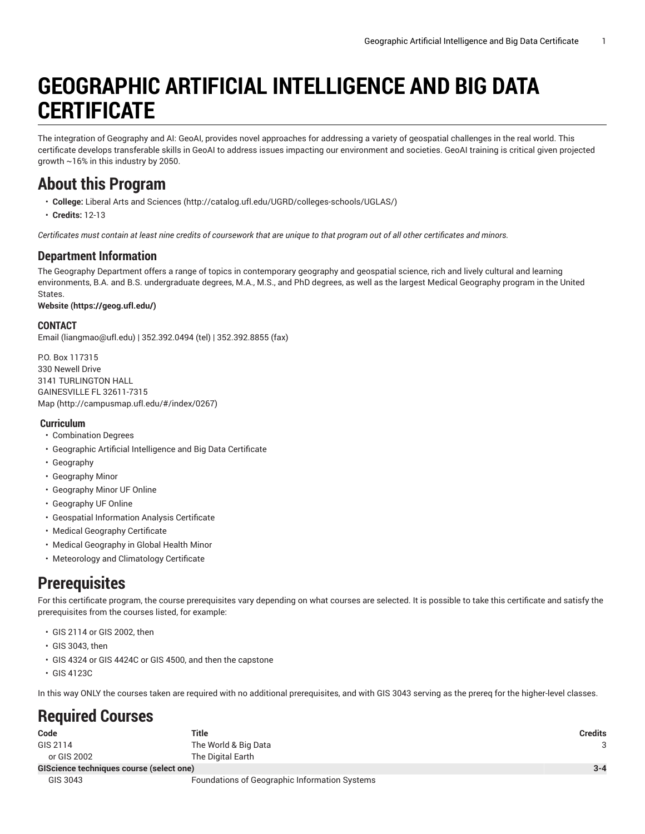# **GEOGRAPHIC ARTIFICIAL INTELLIGENCE AND BIG DATA CERTIFICATE**

The integration of Geography and AI: GeoAI, provides novel approaches for addressing a variety of geospatial challenges in the real world. This certificate develops transferable skills in GeoAI to address issues impacting our environment and societies. GeoAI training is critical given projected growth ~16% in this industry by 2050.

### **About this Program**

- **College:** Liberal Arts and [Sciences](http://catalog.ufl.edu/UGRD/colleges-schools/UGLAS/) ([http://catalog.ufl.edu/UGRD/colleges-schools/UGLAS/\)](http://catalog.ufl.edu/UGRD/colleges-schools/UGLAS/)
- **Credits:** 12-13

Certificates must contain at least nine credits of coursework that are unique to that program out of all other certificates and minors.

### **Department Information**

The Geography Department offers a range of topics in contemporary geography and geospatial science, rich and lively cultural and learning environments, B.A. and B.S. undergraduate degrees, M.A., M.S., and PhD degrees, as well as the largest Medical Geography program in the United States.

#### **[Website](https://geog.ufl.edu/) ([https://geog.ufl.edu/\)](https://geog.ufl.edu/)**

#### **CONTACT**

[Email](mailto:liangmao@ufl.edu) (<liangmao@ufl.edu>) | 352.392.0494 (tel) | 352.392.8855 (fax)

P.O. Box 117315 330 Newell Drive 3141 TURLINGTON HALL GAINESVILLE FL 32611-7315 [Map](http://campusmap.ufl.edu/#/index/0267) ([http://campusmap.ufl.edu/#/index/0267\)](http://campusmap.ufl.edu/#/index/0267)

#### **Curriculum**

- Combination Degrees
- Geographic Artificial Intelligence and Big Data Certificate
- Geography
- Geography Minor
- Geography Minor UF Online
- Geography UF Online
- Geospatial Information Analysis Certificate
- Medical Geography Certificate
- Medical Geography in Global Health Minor
- Meteorology and Climatology Certificate

### **Prerequisites**

For this certificate program, the course prerequisites vary depending on what courses are selected. It is possible to take this certificate and satisfy the prerequisites from the courses listed, for example:

- GIS 2114 or GIS 2002, then
- GIS 3043, then
- GIS 4324 or GIS 4424C or GIS 4500, and then the capstone
- GIS 4123C

In this way ONLY the courses taken are required with no additional prerequisites, and with GIS 3043 serving as the prereq for the higher-level classes.

## **Required Courses**

| Code                                     | <b>Title</b>                                  | <b>Credits</b> |
|------------------------------------------|-----------------------------------------------|----------------|
| GIS 2114                                 | The World & Big Data                          |                |
| or GIS 2002                              | The Digital Earth                             |                |
| GIScience techniques course (select one) |                                               | $3 - 4$        |
| GIS 3043                                 | Foundations of Geographic Information Systems |                |